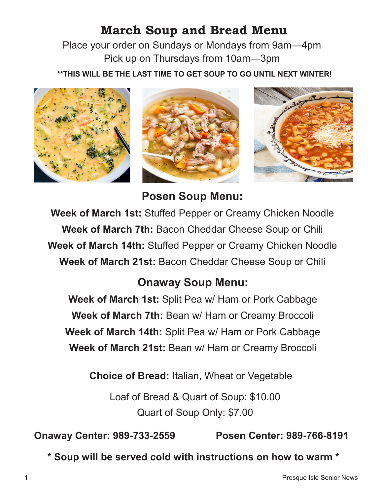## **March Soup and Bread Menu**

Place your order on Sundays or Mondays from 9am—4pm Pick up on Thursdays from 10am—3pm

**\*\*THIS WILL BE THE LAST TIME TO GET SOUP TO GO UNTIL NEXT WINTER!**







**Posen Soup Menu:**

**Week of March 1st:** Stuffed Pepper or Creamy Chicken Noodle **Week of March 7th:** Bacon Cheddar Cheese Soup or Chili **Week of March 14th:** Stuffed Pepper or Creamy Chicken Noodle **Week of March 21st:** Bacon Cheddar Cheese Soup or Chili

## **Onaway Soup Menu:**

**Week of March 1st:** Split Pea w/ Ham or Pork Cabbage **Week of March 7th:** Bean w/ Ham or Creamy Broccoli **Week of March 14th:** Split Pea w/ Ham or Pork Cabbage **Week of March 21st:** Bean w/ Ham or Creamy Broccoli

**Choice of Bread:** Italian, Wheat or Vegetable

Loaf of Bread & Quart of Soup: \$10.00 Quart of Soup Only: \$7.00

**Onaway Center: 989-733-2559 Posen Center: 989-766-8191**

**\* Soup will be served cold with instructions on how to warm \***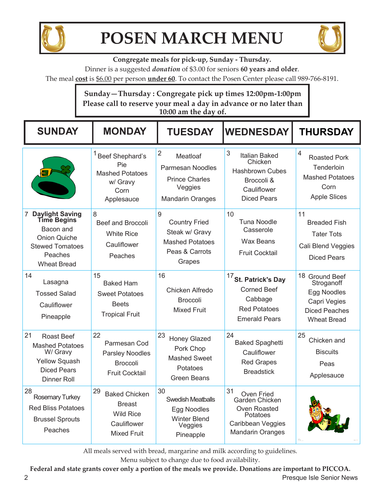

## **POSEN MARCH MENU**



**Congregate meals for pick-up, Sunday - Thursday.** 

Dinner is a suggested *donation* of \$3.00 for seniors **60 years and older**.

The meal **cost** is \$6.00 per person **under 60**. To contact the Posen Center please call 989-766-8191.

## **Sunday—Thursday : Congregate pick up times 12:00pm-1:00pm Please call to reserve your meal a day in advance or no later than 10:00 am the day of.**

| <b>SUNDAY</b>                                                                                                                                                 | <b>MONDAY</b>                                                                                        | <b>TUESDAY</b>                                                                                                       | <b>WEDNESDAY</b>                                                                                                             | <b>THURSDAY</b>                                                                                           |
|---------------------------------------------------------------------------------------------------------------------------------------------------------------|------------------------------------------------------------------------------------------------------|----------------------------------------------------------------------------------------------------------------------|------------------------------------------------------------------------------------------------------------------------------|-----------------------------------------------------------------------------------------------------------|
|                                                                                                                                                               | Beef Shephard's<br>Pie<br><b>Mashed Potatoes</b><br>w/ Gravy<br>Corn<br>Applesauce                   | $\overline{2}$<br>Meatloaf<br><b>Parmesan Noodles</b><br><b>Prince Charles</b><br>Veggies<br><b>Mandarin Oranges</b> | 3<br>Italian Baked<br>Chicken<br><b>Hashbrown Cubes</b><br>Broccoli &<br>Cauliflower<br><b>Diced Pears</b>                   | 4<br><b>Roasted Pork</b><br>Tenderloin<br><b>Mashed Potatoes</b><br>Corn<br><b>Apple Slices</b>           |
| $\overline{7}$<br><b>Daylight Saving</b><br><b>Time Begins</b><br>Bacon and<br><b>Onion Quiche</b><br><b>Stewed Tomatoes</b><br>Peaches<br><b>Wheat Bread</b> | 8<br><b>Beef and Broccoli</b><br><b>White Rice</b><br>Cauliflower<br>Peaches                         | 9<br><b>Country Fried</b><br>Steak w/ Gravy<br><b>Mashed Potatoes</b><br>Peas & Carrots<br>Grapes                    | 10<br><b>Tuna Noodle</b><br>Casserole<br><b>Wax Beans</b><br><b>Fruit Cocktail</b>                                           | 11<br><b>Breaded Fish</b><br><b>Tater Tots</b><br>Cali Blend Veggies<br><b>Diced Pears</b>                |
| 14<br>Lasagna<br><b>Tossed Salad</b><br>Cauliflower<br>Pineapple                                                                                              | 15<br><b>Baked Ham</b><br><b>Sweet Potatoes</b><br><b>Beets</b><br><b>Tropical Fruit</b>             | 16<br>Chicken Alfredo<br><b>Broccoli</b><br><b>Mixed Fruit</b>                                                       | $17$ St. Patrick's Day<br><b>Corned Beef</b><br>Cabbage<br><b>Red Potatoes</b><br><b>Emerald Pears</b>                       | 18 Ground Beef<br>Stroganoff<br>Egg Noodles<br>Capri Vegies<br><b>Diced Peaches</b><br><b>Wheat Bread</b> |
| 21<br><b>Roast Beef</b><br><b>Mashed Potatoes</b><br>W/ Gravy<br><b>Yellow Squash</b><br><b>Diced Pears</b><br><b>Dinner Roll</b>                             | 22<br>Parmesan Cod<br><b>Parsley Noodles</b><br><b>Broccoli</b><br><b>Fruit Cocktail</b>             | 23<br><b>Honey Glazed</b><br>Pork Chop<br><b>Mashed Sweet</b><br>Potatoes<br><b>Green Beans</b>                      | 24<br><b>Baked Spaghetti</b><br>Cauliflower<br><b>Red Grapes</b><br><b>Breadstick</b>                                        | 25<br>Chicken and<br><b>Biscuits</b><br>Peas<br>Applesauce                                                |
| 28<br>Rosemary Turkey<br><b>Red Bliss Potatoes</b><br><b>Brussel Sprouts</b><br>Peaches                                                                       | 29<br><b>Baked Chicken</b><br><b>Breast</b><br><b>Wild Rice</b><br>Cauliflower<br><b>Mixed Fruit</b> | 30<br><b>Swedish Meatballs</b><br>Egg Noodles<br><b>Winter Blend</b><br>Veggies<br>Pineapple                         | 31<br>Oven Fried<br>Garden Chicken<br><b>Oven Roasted</b><br>Potatoes<br><b>Caribbean Veggies</b><br><b>Mandarin Oranges</b> |                                                                                                           |

All meals served with bread, margarine and milk according to guidelines.

Menu subject to change due to food availability.

**Federal and state grants cover only a portion of the meals we provide. Donations are important to PICCOA.**